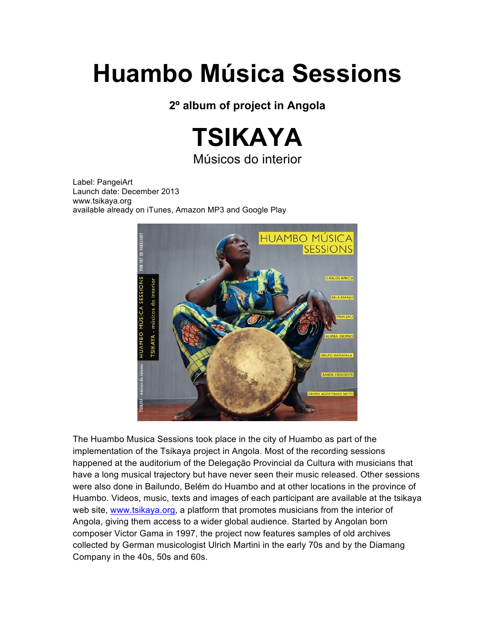## **Huambo Música Sessions**

**2º album of project in Angola**



Músicos do interior

Label: PangeiArt Launch date: December 2013 www.tsikaya.org available already on iTunes, Amazon MP3 and Google Play



The Huambo Musica Sessions took place in the city of Huambo as part of the implementation of the Tsikaya project in Angola. Most of the recording sessions happened at the auditorium of the Delegação Provincial da Cultura with musicians that have a long musical trajectory but have never seen their music released. Other sessions were also done in Bailundo, Belém do Huambo and at other locations in the province of Huambo. Videos, music, texts and images of each participant are available at the tsikaya web site, www.tsikaya.org, a platform that promotes musicians from the interior of Angola, giving them access to a wider global audience. Started by Angolan born composer Victor Gama in 1997, the project now features samples of old archives collected by German musicologist Ulrich Martini in the early 70s and by the Diamang Company in the 40s, 50s and 60s.